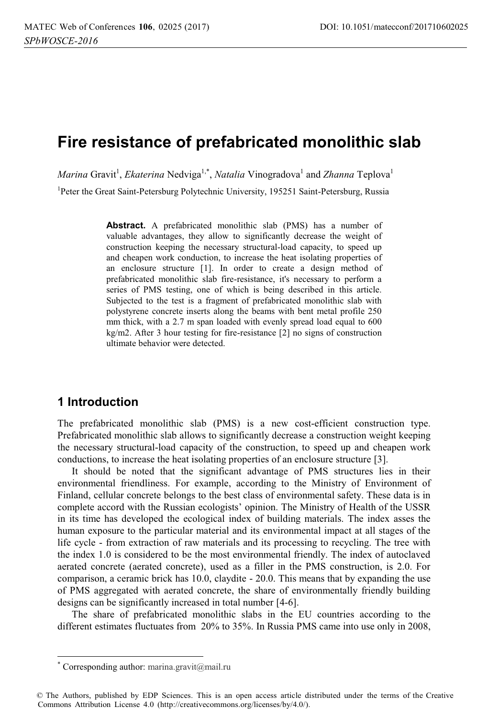# **Fire resistance of prefabricated monolithic slab**

*Marina* Gravit<sup>1</sup>, *Ekaterina* Nedviga<sup>1,\*</sup>, *Natalia* Vinogradova<sup>1</sup> and Zhanna Teplova<sup>1</sup>

<sup>1</sup>Peter the Great Saint-Petersburg Polytechnic University, 195251 Saint-Petersburg, Russia

**Abstract.** A prefabricated monolithic slab (PMS) has a number of valuable advantages, they allow to significantly decrease the weight of construction keeping the necessary structural-load capacity, to speed up and cheapen work conduction, to increase the heat isolating properties of an enclosure structure [1]. In order to create a design method of prefabricated monolithic slab fire-resistance, it's necessary to perform a series of PMS testing, one of which is being described in this article. Subjected to the test is a fragment of prefabricated monolithic slab with polystyrene concrete inserts along the beams with bent metal profile 250 mm thick, with a 2.7 m span loaded with evenly spread load equal to 600 kg/m2. After 3 hour testing for fire-resistance [2] no signs of construction ultimate behavior were detected.

#### **1 Introduction**

The prefabricated monolithic slab (PMS) is a new cost-efficient construction type. Prefabricated monolithic slab allows to significantly decrease a construction weight keeping the necessary structural-load capacity of the construction, to speed up and cheapen work conductions, to increase the heat isolating properties of an enclosure structure [3].

It should be noted that the significant advantage of PMS structures lies in their environmental friendliness. For example, according to the Ministry of Environment of Finland, cellular concrete belongs to the best class of environmental safety. These data is in complete accord with the Russian ecologists' opinion. The Ministry of Health of the USSR in its time has developed the ecological index of building materials. The index asses the human exposure to the particular material and its environmental impact at all stages of the life cycle - from extraction of raw materials and its processing to recycling. The tree with the index 1.0 is considered to be the most environmental friendly. The index of autoclaved aerated concrete (aerated concrete), used as a filler in the PMS construction, is 2.0. For comparison, a ceramic brick has 10.0, claydite - 20.0. This means that by expanding the use of PMS aggregated with aerated concrete, the share of environmentally friendly building designs can be significantly increased in total number [4-6].

The share of prefabricated monolithic slabs in the EU countries according to the different estimates fluctuates from 20% to 35%. In Russia PMS came into use only in 2008,

-

<sup>\*</sup> Corresponding author: marina.gravit@mail.ru

<sup>©</sup> The Authors, published by EDP Sciences. This is an open access article distributed under the terms of the Creative Commons Attribution License 4.0 (http://creativecommons.org/licenses/by/4.0/).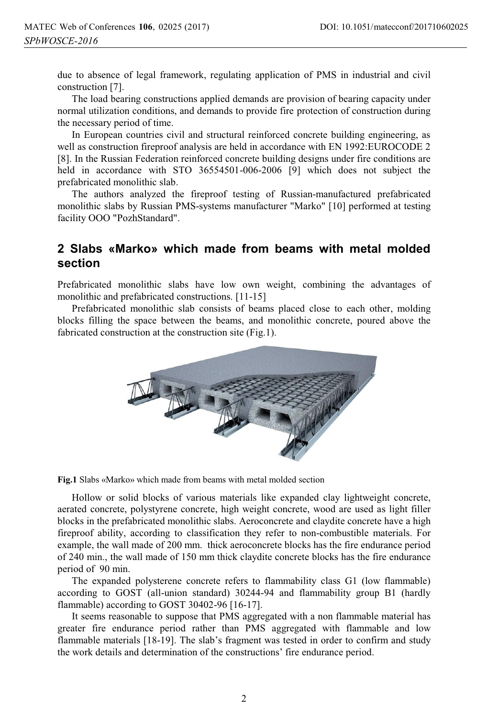due to absence of legal framework, regulating application of PMS in industrial and civil construction [7].

The load bearing constructions applied demands are provision of bearing capacity under normal utilization conditions, and demands to provide fire protection of construction during the necessary period of time.

In European countries civil and structural reinforced concrete building engineering, as well as construction fireproof analysis are held in accordance with EN 1992:EUROCODE 2 [8]. In the Russian Federation reinforced concrete building designs under fire conditions are held in accordance with STO 36554501-006-2006 [9] which does not subject the prefabricated monolithic slab.

The authors analyzed the fireproof testing of Russian-manufactured prefabricated monolithic slabs by Russian PMS-systems manufacturer "Marko" [10] performed at testing facility OOO "PozhStandard".

## **2 Slabs «Marko» which made from beams with metal molded section**

Prefabricated monolithic slabs have low own weight, combining the advantages of monolithic and prefabricated constructions. [11-15]

Prefabricated monolithic slab consists of beams placed close to each other, molding blocks filling the space between the beams, and monolithic concrete, poured above the fabricated construction at the construction site (Fig.1).



**Fig.1** Slabs «Marko» which made from beams with metal molded section

Hollow or solid blocks of various materials like expanded clay lightweight concrete, aerated concrete, polystyrene concrete, high weight concrete, wood are used as light filler blocks in the prefabricated monolithic slabs. Aeroconcrete and claydite concrete have a high fireproof ability, according to classification they refer to non-combustible materials. For example, the wall made of 200 mm. thick aeroconcrete blocks has the fire endurance period of 240 min., the wall made of 150 mm thick claydite concrete blocks has the fire endurance period of 90 min.

The expanded polysterene concrete refers to flammability class G1 (low flammable) according to GOST (all-union standard) 30244-94 and flammability group B1 (hardly flammable) according to GOST 30402-96 [16-17].

It seems reasonable to suppose that PMS aggregated with a non flammable material has greater fire endurance period rather than PMS aggregated with flammable and low flammable materials [18-19]. The slab's fragment was tested in order to confirm and study the work details and determination of the constructions' fire endurance period.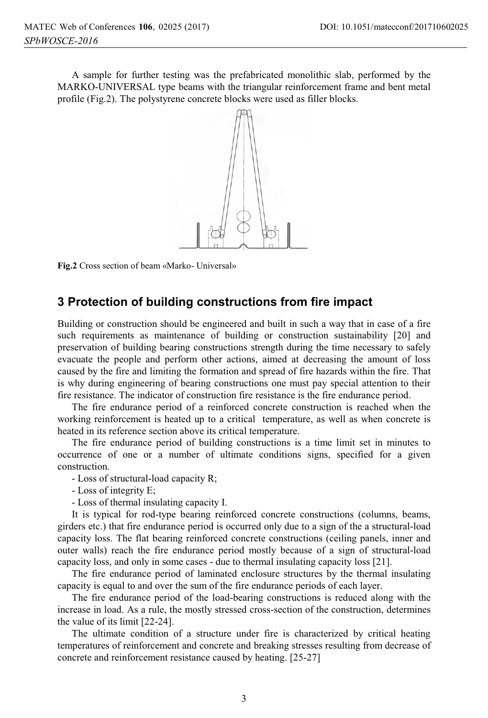A sample for further testing was the prefabricated monolithic slab, performed by the MARKO-UNIVERSAL type beams with the triangular reinforcement frame and bent metal profile (Fig.2). The polystyrene concrete blocks were used as filler blocks.



**Fig.2** Cross section of beam «Marko- Universal»

### **3 Protection of building constructions from fire impact**

Building or construction should be engineered and built in such a way that in case of a fire such requirements as maintenance of building or construction sustainability [20] and preservation of building bearing constructions strength during the time necessary to safely evacuate the people and perform other actions, aimed at decreasing the amount of loss caused by the fire and limiting the formation and spread of fire hazards within the fire. That is why during engineering of bearing constructions one must pay special attention to their fire resistance. The indicator of construction fire resistance is the fire endurance period.

The fire endurance period of a reinforced concrete construction is reached when the working reinforcement is heated up to a critical temperature, as well as when concrete is heated in its reference section above its critical temperature.

The fire endurance period of building constructions is a time limit set in minutes to occurrence of one or a number of ultimate conditions signs, specified for a given construction.

- Loss of structural-load capacity R;

- Loss of integrity E;

- Loss of thermal insulating capacity I.

It is typical for rod-type bearing reinforced concrete constructions (columns, beams, girders etc.) that fire endurance period is occurred only due to a sign of the a structural-load capacity loss. The flat bearing reinforced concrete constructions (ceiling panels, inner and outer walls) reach the fire endurance period mostly because of a sign of structural-load capacity loss, and only in some cases - due to thermal insulating capacity loss [21].

The fire endurance period of laminated enclosure structures by the thermal insulating capacity is equal to and over the sum of the fire endurance periods of each layer.

The fire endurance period of the load-bearing constructions is reduced along with the increase in load. As a rule, the mostly stressed cross-section of the construction, determines the value of its limit [22-24].

The ultimate condition of a structure under fire is characterized by critical heating temperatures of reinforcement and concrete and breaking stresses resulting from decrease of concrete and reinforcement resistance caused by heating. [25-27]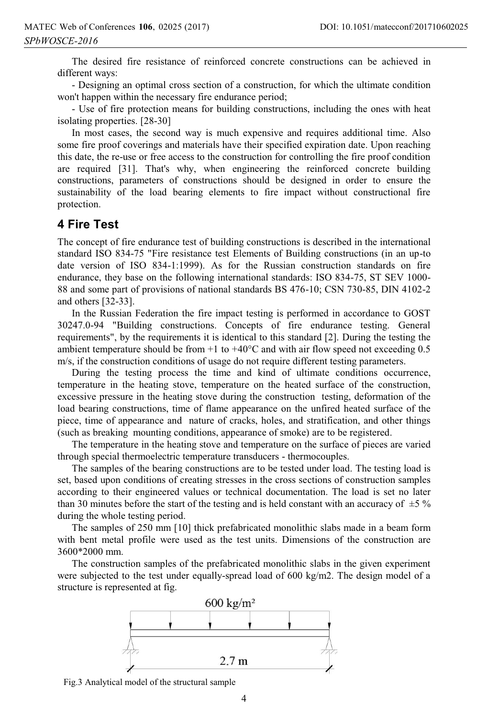The desired fire resistance of reinforced concrete constructions can be achieved in different ways:

- Designing an optimal cross section of a construction, for which the ultimate condition won't happen within the necessary fire endurance period;

- Use of fire protection means for building constructions, including the ones with heat isolating properties. [28-30]

In most cases, the second way is much expensive and requires additional time. Also some fire proof coverings and materials have their specified expiration date. Upon reaching this date, the re-use or free access to the construction for controlling the fire proof condition are required [31]. That's why, when engineering the reinforced concrete building constructions, parameters of constructions should be designed in order to ensure the sustainability of the load bearing elements to fire impact without constructional fire protection.

#### **4 Fire Test**

The concept of fire endurance test of building constructions is described in the international standard ISO 834-75 "Fire resistance test Elements of Building constructions (in an up-to date version of ISO 834-1:1999). As for the Russian construction standards on fire endurance, they base on the following international standards: ISO 834-75, ST SEV 1000- 88 and some part of provisions of national standards BS 476-10; CSN 730-85, DIN 4102-2 and others [32-33].

In the Russian Federation the fire impact testing is performed in accordance to GOST 30247.0-94 "Building constructions. Concepts of fire endurance testing. General requirements", by the requirements it is identical to this standard [2]. During the testing the ambient temperature should be from  $+1$  to  $+40^{\circ}$ C and with air flow speed not exceeding 0.5 m/s, if the construction conditions of usage do not require different testing parameters.

During the testing process the time and kind of ultimate conditions occurrence, temperature in the heating stove, temperature on the heated surface of the construction, excessive pressure in the heating stove during the construction testing, deformation of the load bearing constructions, time of flame appearance on the unfired heated surface of the piece, time of appearance and nature of cracks, holes, and stratification, and other things (such as breaking mounting conditions, appearance of smoke) are to be registered.

The temperature in the heating stove and temperature on the surface of pieces are varied through special thermoelectric temperature transducers - thermocouples.

The samples of the bearing constructions are to be tested under load. The testing load is set, based upon conditions of creating stresses in the cross sections of construction samples according to their engineered values or technical documentation. The load is set no later than 30 minutes before the start of the testing and is held constant with an accuracy of  $\pm$ 5 % during the whole testing period.

The samples of 250 mm [10] thick prefabricated monolithic slabs made in a beam form with bent metal profile were used as the test units. Dimensions of the construction are 3600\*2000 mm.

The construction samples of the prefabricated monolithic slabs in the given experiment were subjected to the test under equally-spread load of 600 kg/m2. The design model of a structure is represented at fig.



Fig.3 Analytical model of the structural sample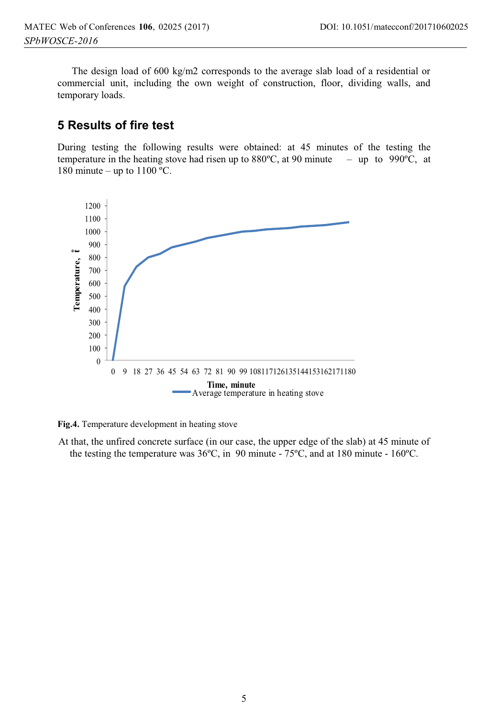The design load of 600 kg/m2 corresponds to the average slab load of a residential or commercial unit, including the own weight of construction, floor, dividing walls, and temporary loads.

# **5 Results of fire test**

During testing the following results were obtained: at 45 minutes of the testing the temperature in the heating stove had risen up to  $880^{\circ}$ C, at 90 minute – up to 990 $^{\circ}$ C, at 180 minute – up to  $1100$  °C.



**Fig.4.** Temperature development in heating stove

At that, the unfired concrete surface (in our case, the upper edge of the slab) at 45 minute of the testing the temperature was 36ºС, in 90 minute - 75ºС, and at 180 minute - 160ºС.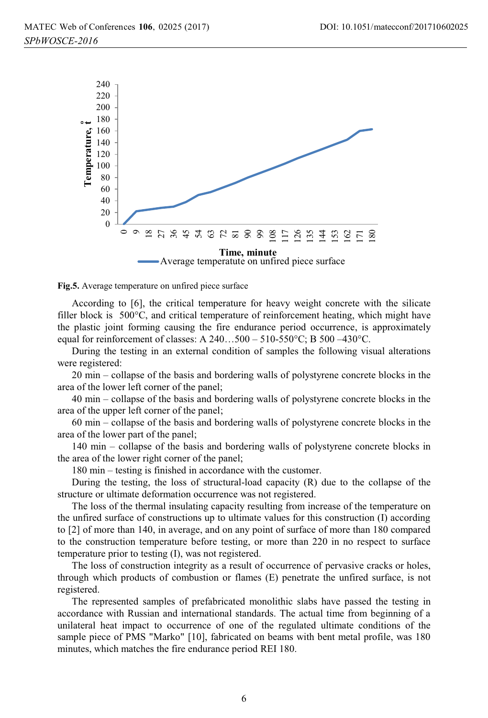



According to [6], the critical temperature for heavy weight concrete with the silicate filler block is 500°С, and critical temperature of reinforcement heating, which might have the plastic joint forming causing the fire endurance period occurrence, is approximately equal for reinforcement of classes: А 240…500 – 510-550°С; В 500 –430°С.

During the testing in an external condition of samples the following visual alterations were registered:

20 min – collapse of the basis and bordering walls of polystyrene concrete blocks in the area of the lower left corner of the panel;

40 min – collapse of the basis and bordering walls of polystyrene concrete blocks in the area of the upper left corner of the panel;

60 min – collapse of the basis and bordering walls of polystyrene concrete blocks in the area of the lower part of the panel;

140 min – collapse of the basis and bordering walls of polystyrene concrete blocks in the area of the lower right corner of the panel;

180 min – testing is finished in accordance with the customer.

During the testing, the loss of structural-load capacity (R) due to the collapse of the structure or ultimate deformation occurrence was not registered.

The loss of the thermal insulating capacity resulting from increase of the temperature on the unfired surface of constructions up to ultimate values for this construction (I) according to [2] of more than 140, in average, and on any point of surface of more than 180 compared to the construction temperature before testing, or more than 220 in no respect to surface temperature prior to testing (I), was not registered.

The loss of construction integrity as a result of occurrence of pervasive cracks or holes, through which products of combustion or flames (E) penetrate the unfired surface, is not registered.

The represented samples of prefabricated monolithic slabs have passed the testing in accordance with Russian and international standards. The actual time from beginning of a unilateral heat impact to occurrence of one of the regulated ultimate conditions of the sample piece of PMS "Marko" [10], fabricated on beams with bent metal profile, was 180 minutes, which matches the fire endurance period REI 180.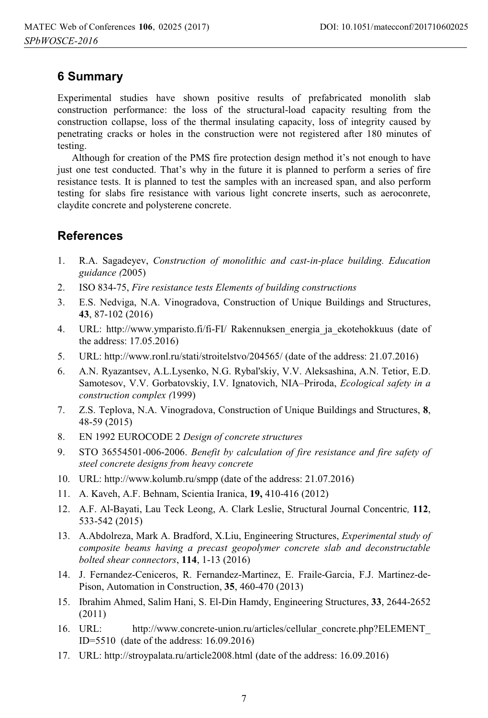# **6 Summary**

Experimental studies have shown positive results of prefabricated monolith slab construction performance: the loss of the structural-load capacity resulting from the construction collapse, loss of the thermal insulating capacity, loss of integrity caused by penetrating cracks or holes in the construction were not registered after 180 minutes of testing.

Although for creation of the PMS fire protection design method it's not enough to have just one test conducted. That's why in the future it is planned to perform a series of fire resistance tests. It is planned to test the samples with an increased span, and also perform testing for slabs fire resistance with various light concrete inserts, such as aeroconrete, claydite concrete and polysterene concrete.

## **References**

- 1. R.A. Sagadeyev, *Construction of monolithic and cast-in-place building. Education guidance (*2005)
- 2. ISO 834-75, *Fire resistance tests Elements of building constructions*
- 3. E.S. Nedviga, N.A. Vinogradova, Construction of Unique Buildings and Structures, **43**, 87-102 (2016)
- 4. URL: http://www.ymparisto.fi/fi-FI/ Rakennuksen\_energia\_ja\_ekotehokkuus (date of the address: 17.05.2016)
- 5. URL: http://www.ronl.ru/stati/stroitelstvo/204565/ (date of the address: 21.07.2016)
- 6. A.N. Ryazantsev, A.L.Lysenko, N.G. Rybal'skiy, V.V. Aleksashina, A.N. Tetior, E.D. Samotesov, V.V. Gorbatovskiy, I.V. Ignatovich, NIA–Priroda, *Ecological safety in a construction complex (*1999)
- 7. Z.S. Teplova, N.A. Vinogradova, Construction of Unique Buildings and Structures, **8**, 48-59 (2015)
- 8. EN 1992 EUROCODE 2 *Design of concrete structures*
- 9. STO 36554501-006-2006. *Benefit by calculation of fire resistance and fire safety of steel concrete designs from heavy concrete*
- 10. URL: http://www.kolumb.ru/smpp (date of the address: 21.07.2016)
- 11. A. Kaveh, A.F. Behnam, Scientia Iranica, **19,** 410-416 (2012)
- 12. A.F. Al-Bayati, Lau Teck Leong, A. Clark Leslie, Structural Journal Concentric*,* **112**, 533-542 (2015)
- 13. A.Abdolreza, Mark A. Bradford, X.Liu, Engineering Structures, *Experimental study of composite beams having a precast geopolymer concrete slab and deconstructable bolted shear connectors*, **114**, 1-13 (2016)
- 14. J. Fernandez-Ceniceros, R. Fernandez-Martinez, E. Fraile-Garcia, F.J. Martinez-de-Pison, Automation in Construction, **35**, 460-470 (2013)
- 15. Ibrahim Ahmed, Salim Hani, S. El-Din Hamdy, Engineering Structures, **33**, 2644-2652 (2011)
- 16. URL: http://www.concrete-union.ru/articles/cellular\_concrete.php?ELEMENT\_ ID=5510 (date of the address: 16.09.2016)
- 17. URL: http://stroypalata.ru/article2008.html (date of the address: 16.09.2016)